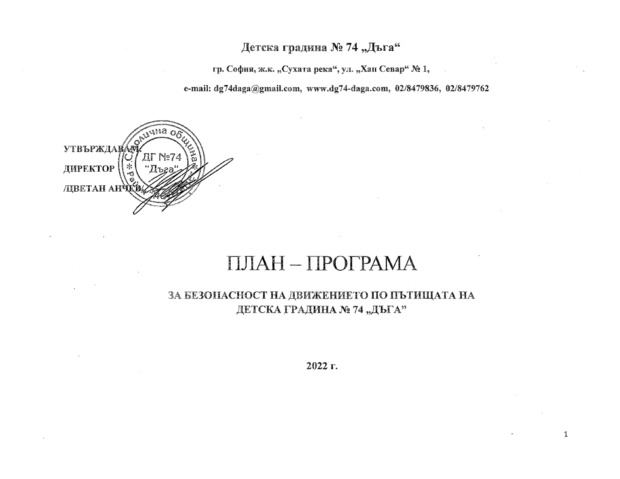## Детска градина № 74 "Дъга"

гр. София, ж.к. "Сухата река", ул. "Хан Севар" № 1,

e-mail: dg74daga@gmail.com, www.dg74-daga.com, 02/8479836, 02/8479762



# ПЛАН-ПРОГРАМА

ЗА БЕЗОПАСНОСТ НА ДВИЖЕНИЕТО ПО ПЪТИЩАТА НА ДЕТСКА ГРАДИНА № 74 "ДЪГА"

2022 г.

 $\mathbf 1$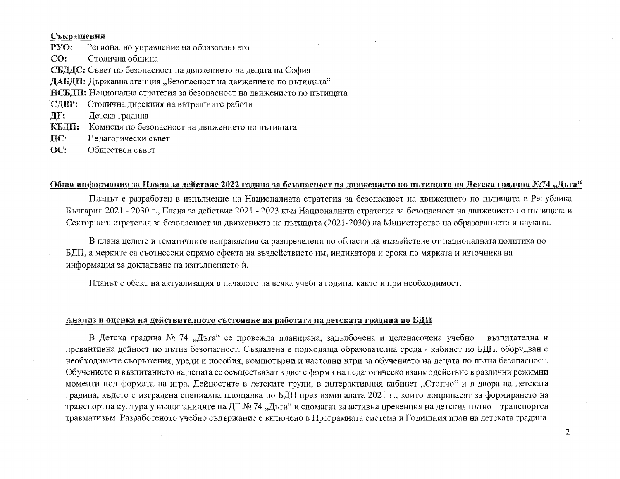#### Съкращения

 $PYO:$ Регионално управление на образованието  $CO:$ Столична обшина СБДДС: Съвет по безопасност на движението на децата на София ДАБДП: Държавна агенция "Безопасност на движението по пътищата" ИСБДП: Национална стратегия за безопасност на движението по пътищата СДВР: Столична дирекция на вътрешните работи ЛГ: Детска градина КБДП: Комисия по безопасност на движението по пътищата  $\mathbf{\Pi} \mathbf{C}$ : Педагогически съвет

 $OC:$ Обществен съвет

### Обща информация за Плана за действие 2022 година за безопасност на движението по пътищата на Детска градина №74 "Дъга"

Планът е разработен в изпълнение на Националната стратегия за безопасност на движението по пътищата в Република България 2021 - 2030 г., Плана за действие 2021 - 2023 към Националната стратегия за безопасност на движението по пътищата и Секторната стратегия за безопасност на движението на пътишата (2021-2030) на Министерство на образованието и науката.

В плана целите и тематичните направления са разпределени по области на въздействие от националната политика по БДП, а мерките са съотнесени спрямо ефекта на въздействието им, индикатора и срока по мярката и източника на информация за докладване на изпълнението и.

Планът е обект на актуализация в началото на всяка учебна година, както и при необходимост.

#### Анализ и оценка на действителното състояние на работата на детската градина по БДП

В Детска градина № 74 "Дъга" се провежда планирана, задълбочена и целенасочена учебно - възпитателна и превантивна дейност по пътна безопасност. Създадена е подходяща образователна среда - кабинет по БДП, оборудван с необходимите съоръжения, уреди и пособия, компютърни и настолни игри за обучението на децата по пътна безопасност. Обучението и възпитанието на децата се осъществяват в двете форми на педагогическо взаимодействие в различни режимни моменти под формата на игра. Дейностите в детските групи, в интерактивния кабинет "Стопчо" и в двора на детската градина, където е изградена специална площадка по БДП през изминалата 2021 г., които допринасят за формирането на транспортна култура у възпитаниците на ДГ № 74 "Дъга" и спомагат за активна превенция на детския пътно – транспортен травматизъм. Разработеното учебно съдържание е включено в Програмната система и Годишния план на детската градина.

 $\overline{2}$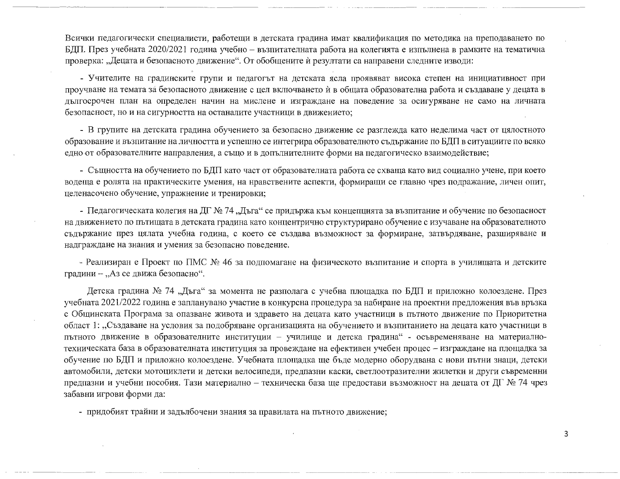Всички педагогически специалисти, работещи в детската градина имат квалификация по методика на преподаването по БДП. През учебната 2020/2021 година учебно - възпитателната работа на колегията е изпълнена в рамките на тематична проверка: "Децата и безопасното движение". От обобщените ѝ резултати са направени следните изводи:

- Учителите на градинските групи и педагогът на детската ясла проявяват висока степен на инициативност при проучване на темата за безопасното движение с цел включването ѝ в общата образователна работа и създаване у децата в дългосрочен план на определен начин на мислене и изграждане на поведение за осигуряване не само на личната безопасност, но и на сигурността на останалите участници в движението;

- В групите на детската градина обучението за безопасно движение се разглежда като неделима част от цялостното образование и възпитание на личността и успешно се интегрира образователното съдържание по БДП в ситуациите по всяко едно от образователните направления, а също и в допълнителните форми на педагогическо взаимодействие;

- Същността на обучението по БДП като част от образователната работа се схваща като вид социално учене, при което водеща е ролята на практическите умения, на нравствените аспекти, формиращи се главно чрез подражание, личен опит, целенасочено обучение, упражнение и тренировки;

- Педагогическата колегия на ДГ № 74 "Дъга" се придържа към концепцията за възпитание и обучение по безопасност на движението по пътищата в детската градина като концентрично структурирано обучение с изучаване на образователното съдържание през цялата учебна година, с което се създава възможност за формиране, затвърдяване, разширяване и надграждане на знания и умения за безопасно поведение.

- Реализиран е Проект по ПМС № 46 за подпомагане на физическото възпитание и спорта в училищата и детските градини - "Аз се движа безопасно".

Детска градина № 74 "Дъга" за момента не разполага с учебна площадка по БДП и приложно колоездене. През учебната 2021/2022 година е запланувано участие в конкурсна процедура за набиране на проектни предложения във връзка с Общинската Програма за опазване живота и здравето на децата като участници в пътното движение по Приоритетна област 1: "Създаване на условия за подобряване организацията на обучението и възпитанието на децата като участници в пътното движение в образователните институции - училище и детска градина" - осъвременяване на материалнотехническата база в образователната институция за провеждане на ефективен учебен процес - изграждане на площадка за обучение по БДП и приложно колоездене. Учебната площадка ще бъде модерно оборудвана с нови пътни знаци, детски автомобили, детски мотоциклети и детски велосипеди, предпазни каски, светлоотразителни жилетки и други съвременни предпазни и учебни пособия. Тази материално – техническа база ще предостави възможност на децата от ДГ № 74 чрез забавни игрови форми да:

- придобият трайни и задълбочени знания за правилата на пътното движение;

3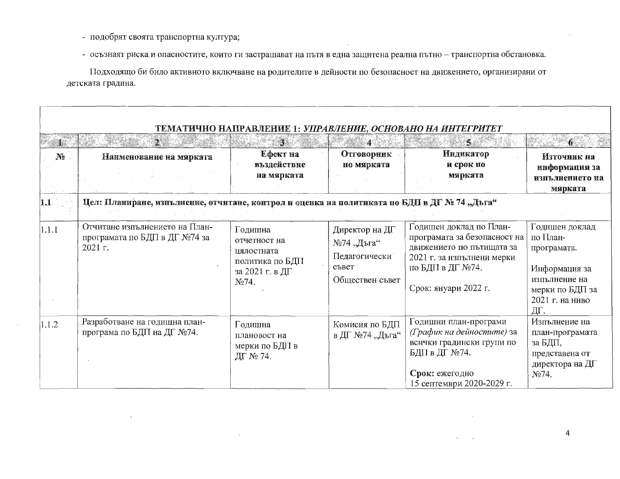- подобрят своята транспортна култура;
- осъзнаят риска и опасностите, които ги застрашават на пътя в една защитена реална пътно транспортна обстановка.

Подходящо би било активното включване на родителите в дейности по безопасност на движението, организирани от детската градина.

|                |                                                                                              |                                                                                      |                                                                           | ТЕМАТИЧНО НАПРАВЛЕНИЕ 1: УПРАВЛЕНИЕ, ОСНОВАНО НА ИНТЕГРИТЕТ                                                                                                    |                                                                                                                          |
|----------------|----------------------------------------------------------------------------------------------|--------------------------------------------------------------------------------------|---------------------------------------------------------------------------|----------------------------------------------------------------------------------------------------------------------------------------------------------------|--------------------------------------------------------------------------------------------------------------------------|
| $\mathbb{N}_2$ | Наименование на мярката                                                                      | $\mathbf{3}$<br>Ефект на<br>въздействие<br>на мярката                                | $\boldsymbol{4}$<br>Отговорник<br>по мярката                              | S.<br><b>Индикатор</b><br>и срок по<br>мярката                                                                                                                 | $\mathbf{6}$<br>Източник на<br>информация за<br>изпълнението на<br>мярката                                               |
| 1.1            | Цел: Планиране, изпълнение, отчитане, контрол и оценка на политиката по БДП в ДГ № 74 "Дъга" |                                                                                      |                                                                           |                                                                                                                                                                |                                                                                                                          |
| 1.1.1          | Отчитане изпълнението на План-<br>програмата по БДП в ДГ №74 за<br>2021 г.                   | Годишна<br>отчетност на<br>цялостната<br>политика по БДП<br>за 2021 г. в ДГ<br>No74. | Директор на ДГ<br>№74 "Дъга"<br>Педагогически<br>съвет<br>Обществен съвет | Годишен доклад по План-<br>програмата за безопасност на<br>движението по пътищата за<br>2021 г. за изпълнени мерки<br>по БДП в ДГ №74.<br>Срок: януари 2022 г. | Годишен доклад<br>по План-<br>програмата.<br>Информация за<br>изпълнение на<br>мерки по БДП за<br>2021 г. на ниво<br>ДГ. |
| 1.1.2          | Разработване на годишна план-<br>програма по БДП на ДГ №74.                                  | Годишна<br>плановост на<br>мерки по БДП в<br>ДГ № 74.                                | Комисия по БДП<br>в ДГ №74 "Дъга"                                         | Годишни план-програми<br>(График на дейностите) за<br>всички градински групи по<br>БДП в ДГ №74.<br>Срок: ежегодно<br>15 септември 2020-2029 г.                | Изпълнение на<br>план-програмата<br>за БДП,<br>представена от<br>директора на ДГ<br>No74.                                |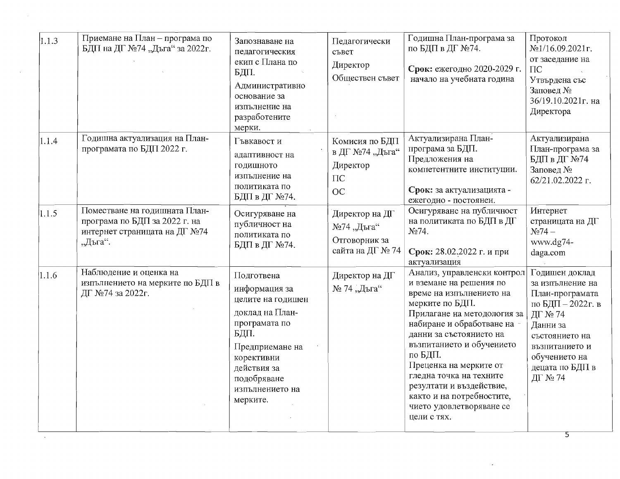| 1.1.3 | Приемане на План - програма по<br>БДП на ДГ №74 "Дъга" за 2022г.                                           | Запознаване на<br>педагогическия<br>екип с Плана по<br>БДП.<br>Административно<br>основание за<br>изпълнение на<br>разработените<br>мерки.                                                 | Педагогически<br>съвет<br>Директор<br>Обществен съвет                   | Годишна План-програма за<br>по БДП в ДГ №74.<br>Срок: ежегодно 2020-2029 г.<br>начало на учебната година                                                                                                                                                                                                                                                                                      | Протокол<br>№1/16.09.2021г.<br>от заседание на<br>$\Gamma$<br>Утвърдена със<br>Заповед №<br>36/19.10.2021г. на<br>Директора                                                                |
|-------|------------------------------------------------------------------------------------------------------------|--------------------------------------------------------------------------------------------------------------------------------------------------------------------------------------------|-------------------------------------------------------------------------|-----------------------------------------------------------------------------------------------------------------------------------------------------------------------------------------------------------------------------------------------------------------------------------------------------------------------------------------------------------------------------------------------|--------------------------------------------------------------------------------------------------------------------------------------------------------------------------------------------|
| 1.1.4 | Годишна актуализация на План-<br>програмата по БДП 2022 г.                                                 | Гъвкавост и<br>адаптивност на<br>годишното<br>изпълнение на<br>политиката по<br>БДП в ДГ №74.                                                                                              | Комисия по БДП<br>в ДГ №74 "Дъга"<br>Директор<br>$\Pi{\mathbb C}$<br>OC | Актуализирана План-<br>програма за БДП.<br>Предложения на<br>компетентните институции.<br>Срок: за актуализацията -<br>ежегодно - постоянен.                                                                                                                                                                                                                                                  | Актуализирана<br>План-програма за<br>БДП в ДГ №74<br>Заповед №<br>62/21.02.2022 г.                                                                                                         |
| 1.1.5 | Поместване на годишната План-<br>програма по БДП за 2022 г. на<br>интернет страницата на ДГ №74<br>"Дъга". | Осигуряване на<br>публичност на<br>политиката по<br>БДП в ДГ №74.                                                                                                                          | Директор на ДГ<br>№74 "Дъга"<br>Отговорник за<br>сайта на ДГ № 74       | Осигуряване на публичност<br>на политиката по БДП в ДГ<br>No74.<br>Срок: 28.02.2022 г. и при<br>актуализация                                                                                                                                                                                                                                                                                  | Интернет<br>страницата на ДГ<br>$N_2$ 74 –<br>www.dg74-<br>daga.com                                                                                                                        |
| 1.1.6 | Наблюдение и оценка на<br>изпълнението на мерките по БДП в<br>ДГ №74 за 2022г.                             | Подготвена<br>информация за<br>целите на годишен<br>доклад на План-<br>програмата по<br>БДП.<br>Предприемане на<br>корективни<br>действия за<br>подобряване<br>изпълнението на<br>мерките. | Директор на ДГ<br>№ 74 "Дъга"                                           | Анализ, управленски контрол<br>и вземане на решения по<br>време на изпълнението на<br>мерките по БДП.<br>Прилагане на методология за<br>набиране и обработване на<br>данни за състоянието на<br>възпитанието и обучението<br>по БДП.<br>Преценка на мерките от<br>гледна точка на техните<br>резултати и въздействие,<br>както и на потребностите,<br>чието удовлетворяване се<br>цели с тях. | Годишен доклад<br>за изпълнение на<br>План-програмата<br>по БДП – 2022 г. в<br>ДГ № 74<br>Данни за<br>състоянието на<br>възпитанието и<br>обучението на<br>децата по БДП в<br>ДГ № 74<br>5 |

 $\star$ 

 $\sim$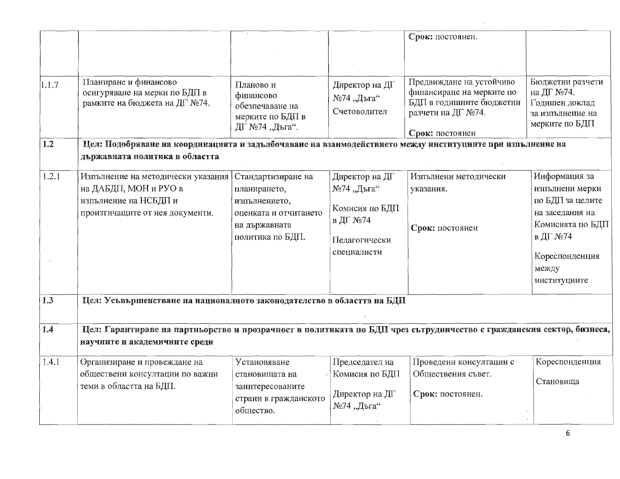|                   |                                                                                                                                                        |                                                                                                                   |                                                                                            | Срок: постоянен.                                                                                                           |                                                                                                                                                    |
|-------------------|--------------------------------------------------------------------------------------------------------------------------------------------------------|-------------------------------------------------------------------------------------------------------------------|--------------------------------------------------------------------------------------------|----------------------------------------------------------------------------------------------------------------------------|----------------------------------------------------------------------------------------------------------------------------------------------------|
| 1.1.7             | Планиране и финансово<br>осигуряване на мерки по БДП в<br>рамките на бюджета на ДГ №74.                                                                | Планово и<br>финансово<br>обезпечаване на<br>мерките по БДП в<br>ДГ №74 "Дъга".                                   | Директор на ДГ<br>№74 "Дъга"<br>Счетоводител                                               | Предвиждане на устойчиво<br>финансиране на мерките по<br>БДП в годишните бюджетни<br>разчети на ДГ №74.<br>Срок: постоянен | Бюджетни разчети<br>на ДГ №74.<br>Годишен доклад<br>за изпълнение на<br>мерките по БДП                                                             |
| $\vert 1.2 \vert$ | Цел: Подобряване на координацията и задълбочаване на взаимодействието между институциите при изпълнение на<br>държавната политика в областта           |                                                                                                                   |                                                                                            |                                                                                                                            |                                                                                                                                                    |
| 1.2.1             | Изпълнение на методически указания<br>на ДАБДП, МОН и РУО в<br>изпълнение на НСБДП и<br>произтичащите от нея документи.                                | Стандартизиране на<br>планирането,<br>изпълнението,<br>оценката и отчитането<br>на държавната<br>политика по БДП. | Директор на ДГ<br>№74 "Дъга"<br>Комисия по БДП<br>в ДГ №74<br>Педагогически<br>специалисти | Изпълнени методически<br>указания.<br>Срок: постоянен                                                                      | Информация за<br>изпълнени мерки<br>по БДП за целите<br>на заседания на<br>Комисията по БДП<br>в ДГ №74<br>Кореспонденция<br>между<br>институциите |
| 1.3               | Цел: Усъвършенстване на националното законодателство в областта на БДП                                                                                 |                                                                                                                   |                                                                                            |                                                                                                                            |                                                                                                                                                    |
| 1.4               | Цел: Гарантиране на партиьорство и прозрачност в политиката по БДП чрез сътрудничество с гражданския сектор, бизнеса,<br>научните и академичните среди |                                                                                                                   |                                                                                            |                                                                                                                            |                                                                                                                                                    |
| 1.4.1             | Организиране и провеждане на<br>обществени консултации по важни<br>теми в областта на БДП.                                                             | Установяване<br>становищата на<br>заинтересованите<br>страни в гражданското<br>общество.                          | Председател на<br>Комисия по БДП<br>Директор на ДГ<br>№74 "Дъга"                           | Проведени консултации с<br>Обществения съвет.<br>Срок: постоянен.                                                          | Кореспонденция<br>Становища                                                                                                                        |

 $\alpha$  .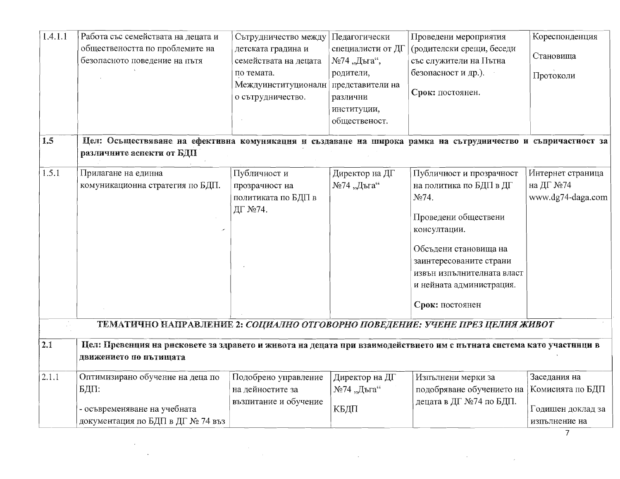| Цел: Осьществяване на ефективна комуникация и създаване на широка рамка на сътрудничество и съпричастност за | о сътрудничество.                                                | различни<br>институции,<br>общественост. | Срок: постоянен.                                                                                                                                                                                                                      |                                                                                                                                                                                                                              |
|--------------------------------------------------------------------------------------------------------------|------------------------------------------------------------------|------------------------------------------|---------------------------------------------------------------------------------------------------------------------------------------------------------------------------------------------------------------------------------------|------------------------------------------------------------------------------------------------------------------------------------------------------------------------------------------------------------------------------|
|                                                                                                              |                                                                  |                                          |                                                                                                                                                                                                                                       |                                                                                                                                                                                                                              |
| различните аспекти от БДП                                                                                    |                                                                  |                                          |                                                                                                                                                                                                                                       |                                                                                                                                                                                                                              |
| Прилагане на единна<br>комуникационна стратегия по БДП.                                                      | Публичност и<br>прозрачност на<br>политиката по БДП в<br>ДГ №74. | Директор на ДГ<br>№74 "Дъга"             | Публичност и прозрачност<br>на политика по БДП в ДГ<br>No74.<br>Проведени обществени<br>консултации.<br>Обсъдени становища на<br>заинтересованите страни<br>извън изпълнителната власт<br>и нейната администрация.<br>Срок: постоянен | Интернет страница<br>на ДГ №74<br>www.dg74-daga.com                                                                                                                                                                          |
| движението по пътищата                                                                                       |                                                                  |                                          |                                                                                                                                                                                                                                       |                                                                                                                                                                                                                              |
| - осъвременяване на учебната<br>документация по БДП в ДГ № 74 въз                                            | на дейностите за<br>възпитание и обучение                        | №74 "Дъга"<br>КБДП                       | подобряване обучението на Комисията по БДП<br>децата в ДГ №74 по БДП.                                                                                                                                                                 | Заседания на<br>Годишен доклад за<br>изпълнение на                                                                                                                                                                           |
|                                                                                                              | Оптимизирано обучение на деца по                                 |                                          | Подобрено управление<br>  Директор на ДГ                                                                                                                                                                                              | ТЕМАТИЧНО НАПРАВЛЕНИЕ 2: СОЦИАЛНО ОТГОВОРНО ПОВЕДЕНИЕ: УЧЕНЕ ПРЕЗ ЦЕЛИЯ ЖИВОТ<br>Цел: Превенция на рисковете за здравето и живота на децата при взаимодействието им с пътната система като участници в<br>Изпълнени мерки за |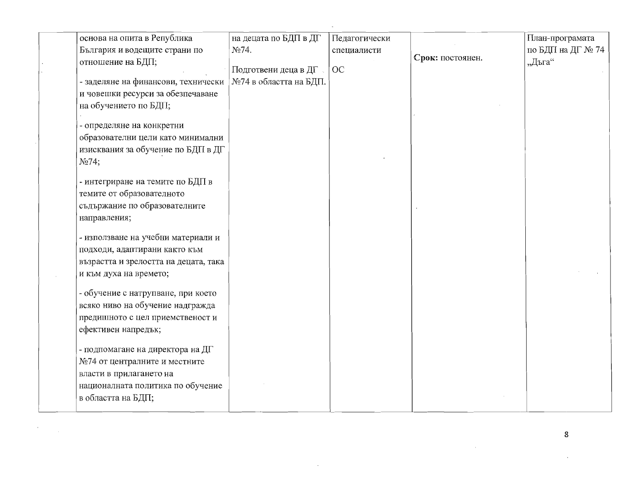| основа на опита в Република              | на децата по БДП в ДГ  | Педагогически |                  | План-програмата   |
|------------------------------------------|------------------------|---------------|------------------|-------------------|
| България и водещите страни по            | No74.                  | специалисти   |                  | по БДП на ДГ № 74 |
| отношение на БДП;                        |                        |               | Срок: постоянен. | "Дъга"            |
|                                          | Подготвени деца в ДГ   | OC            |                  |                   |
| - заделяне на финансови, технически      | №74 в областта на БДП. |               |                  |                   |
| и човешки ресурси за обезпечаване        |                        |               |                  |                   |
| на обучението по БДП;                    |                        |               |                  |                   |
|                                          |                        |               |                  |                   |
| - определяне на конкретни                |                        |               |                  |                   |
| образователни цели като минимални        |                        |               |                  |                   |
| изисквания за обучение по БДП в ДГ       |                        |               |                  |                   |
| No74;                                    |                        |               |                  |                   |
| - интегриране на темите по БДП в         |                        |               |                  |                   |
| темите от образователното                |                        |               |                  |                   |
| съдържание по образователните            |                        |               |                  |                   |
| направления;                             |                        |               |                  |                   |
|                                          |                        |               |                  |                   |
| - използване на учебни материали и       |                        |               |                  |                   |
| подходи, адаптирани както към            |                        |               |                  |                   |
| възрастта и зрелостта на децата, така    |                        |               |                  |                   |
| и към духа на времето;                   |                        |               |                  |                   |
|                                          |                        |               |                  |                   |
| - обучение с натрупване, при което       |                        |               |                  |                   |
| всяко ниво на обучение надгражда         |                        |               |                  |                   |
| предишното с цел приемственост и         |                        |               |                  |                   |
| ефективен напредък;                      |                        |               |                  |                   |
|                                          |                        |               |                  |                   |
| - подпомагане на директора на Д $\Gamma$ |                        |               |                  |                   |
| №74 от централните и местните            |                        |               |                  |                   |
| власти в прилагането на                  |                        |               |                  |                   |
| националната политика по обучение        |                        |               |                  |                   |
| в областта на БДП;                       |                        |               |                  |                   |
|                                          |                        |               |                  |                   |

 $\bf 8$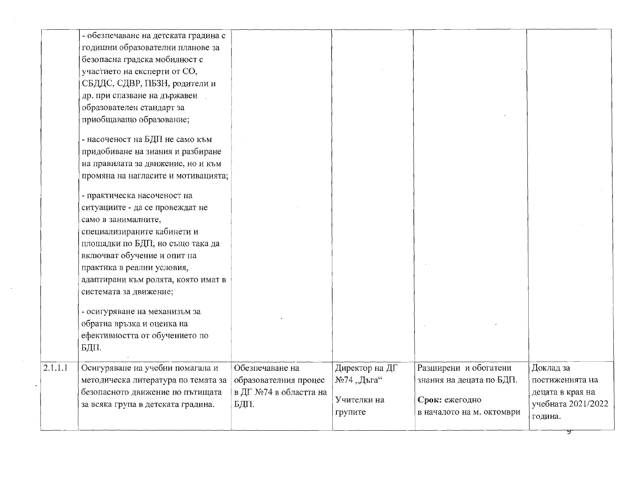|         | - обезпечаване на детската градина с<br>годишни образователни планове за<br>безопасна градска мобилност с<br>участието на експерти от СО,<br>СБДДС, СДВР, ПБЗН, родители и<br>др. при спазване на държавен |                                                                            |                                                        |                                                                                                  |                                                                                   |
|---------|------------------------------------------------------------------------------------------------------------------------------------------------------------------------------------------------------------|----------------------------------------------------------------------------|--------------------------------------------------------|--------------------------------------------------------------------------------------------------|-----------------------------------------------------------------------------------|
|         | образователен стандарт за<br>приобщаващо образование;<br>- насоченост на БДП не само към                                                                                                                   |                                                                            |                                                        |                                                                                                  |                                                                                   |
|         | придобиване на знания и разбиране<br>на правилата за движение, но и към<br>промяна на нагласите и мотивацията;                                                                                             |                                                                            |                                                        |                                                                                                  |                                                                                   |
|         | - практическа насоченост на<br>ситуациите - да се провеждат не<br>само в занималните,<br>специализираните кабинети и                                                                                       |                                                                            |                                                        |                                                                                                  |                                                                                   |
|         | площадки по БДП, но също така да<br>включват обучение и опит на<br>практика в реални условия,<br>адаптирани към ролята, която имат в                                                                       |                                                                            |                                                        |                                                                                                  |                                                                                   |
|         | системата за движение;<br>- осигуряване на механизъм за<br>обратна връзка и оценка на<br>ефективността от обучението по                                                                                    |                                                                            |                                                        |                                                                                                  |                                                                                   |
| 2.1.1.1 | БДП.<br>Осигуряване на учебни помагала и<br>методическа литература по темата за<br>безопасното движение по пътищата<br>за всяка група в детската градина.                                                  | Обезпечаване на<br>образователния процес<br>в ДГ №74 в областта на<br>БДП. | Директор на ДГ<br>№74 "Дъга"<br>Учителки на<br>групите | Разширени и обогатени<br>знания на децата по БДП.<br>Срок: ежегодно<br>в началото на м. октомври | Доклад за<br>постиженията на<br>децата в края на<br>учебната 2021/2022<br>година. |
|         |                                                                                                                                                                                                            |                                                                            |                                                        |                                                                                                  |                                                                                   |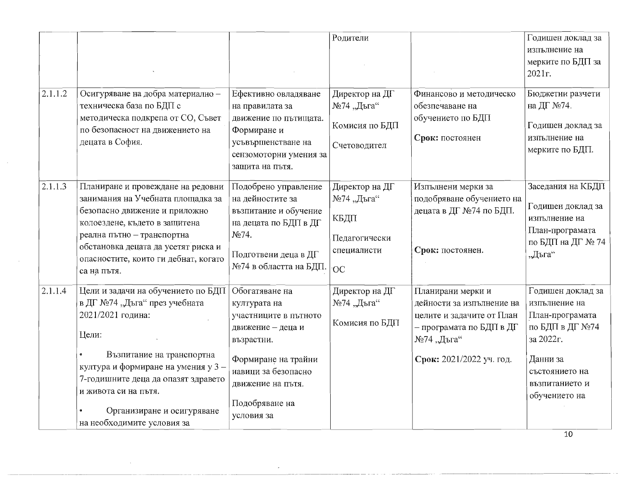|         |                                                                                                                                                                                                                                                                                                 |                                                                                                                                                                                               | Родители                                                                          |                                                                                                                                                   | Годишен доклад за<br>изпълнение на<br>мерките по БДП за<br>2021r.                                                                                            |
|---------|-------------------------------------------------------------------------------------------------------------------------------------------------------------------------------------------------------------------------------------------------------------------------------------------------|-----------------------------------------------------------------------------------------------------------------------------------------------------------------------------------------------|-----------------------------------------------------------------------------------|---------------------------------------------------------------------------------------------------------------------------------------------------|--------------------------------------------------------------------------------------------------------------------------------------------------------------|
| 2.1.1.2 | Осигуряване на добра материално -<br>техническа база по БДП с<br>методическа подкрепа от СО, Съвет<br>по безопасност на движението на<br>децата в София.                                                                                                                                        | Ефективно овладяване<br>на правилата за<br>движение по пътищата.<br>Формиране и<br>усъвършенстване на<br>сензомоторни умения за<br>защита на пътя.                                            | Директор на ДГ<br>№74 "Дъга"<br>Комисия по БДП<br>Счетоводител                    | Финансово и методическо<br>обезпечаване на<br>обучението по БДП<br>Срок: постоянен                                                                | Бюджетни разчети<br>на ДГ №74.<br>Годишен доклад за<br>изпълнение на<br>мерките по БДП.                                                                      |
| 2.1.1.3 | Планиране и провеждане на редовни<br>занимания на Учебната площадка за<br>безопасно движение и приложно<br>колоездене, където в защитена<br>реална пътно - транспортна<br>обстановка децата да усетят риска и<br>опасностите, които ги дебнат, когато<br>са на пътя.                            | Подобрено управление<br>на дейностите за<br>възпитание и обучение<br>на децата по БДП в ДГ<br>No74.<br>Подготвени деца в ДГ<br>№74 в областта на БДП.                                         | Директор на ДГ<br>№74 "Дъга"<br>КБДП<br>Педагогически<br>специалисти<br><b>OC</b> | Изпълнени мерки за<br>подобряване обучението на<br>децата в ДГ №74 по БДП.<br>Срок: постоянен.                                                    | Заседания на КБДП<br>Годишен доклад за<br>изпълнение на<br>План-програмата<br>по БДП на ДГ № 74<br>"Дъга"                                                    |
| 2.1.1.4 | Цели и задачи на обучението по БДП<br>в ДГ №74 "Дъга" през учебната<br>2021/2021 година:<br>Цели:<br>Възпитание на транспортна<br>култура и формиране на умения у 3-<br>7-годишните деца да опазят здравето<br>и живота си на пътя.<br>Организиране и осигуряване<br>на необходимите условия за | Обогатяване на<br>културата на<br>участниците в пътното<br>движение - деца и<br>възрастни.<br>Формиране на трайни<br>навици за безопасно<br>движение на пътя.<br>Подобряване на<br>условия за | Директор на ДГ<br>№74 "Дъга"<br>Комисия по БДП                                    | Планирани мерки и<br>дейности за изпълнение на<br>целите и задачите от План<br>– програмата по БДП в ДГ<br>№74 "Дъга"<br>Срок: 2021/2022 уч. год. | Годишен доклад за<br>изпълнение на<br>План-програмата<br>по БДП в ДГ №74<br>за 2022г.<br>Данни за<br>състоянието на<br>възпитанието и<br>обучението на<br>10 |

 $\mathcal{L}$ 

 $\lambda$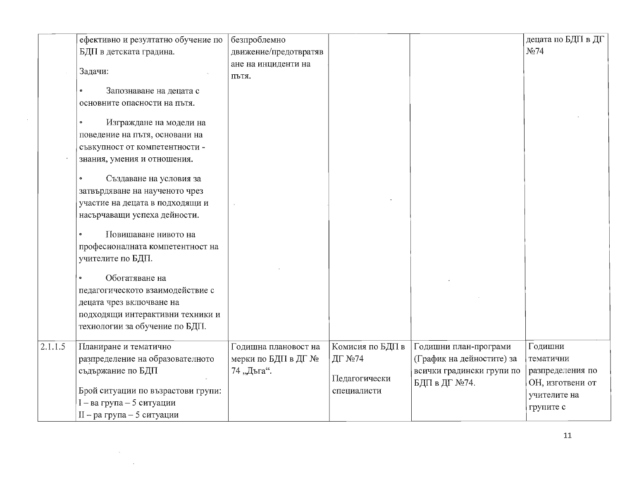|         | ефективно и резултатно обучение по | безпроблемно          |                  |                           | децата по БДП в ДГ |
|---------|------------------------------------|-----------------------|------------------|---------------------------|--------------------|
|         | БДП в детската градина.            | движение/предотвратяв |                  |                           | N <sub>2</sub> 74  |
|         |                                    | ане на инциденти на   |                  |                           |                    |
|         | Задачи:                            | ПЪТЯ.                 |                  |                           |                    |
|         | Запознаване на децата с            |                       |                  |                           |                    |
|         | основните опасности на пътя.       |                       |                  |                           |                    |
|         | Изграждане на модели на            |                       |                  |                           |                    |
|         | поведение на пътя, основани на     |                       |                  |                           |                    |
|         | съвкупност от компетентности -     |                       |                  |                           |                    |
|         | знания, умения и отношения.        |                       |                  |                           |                    |
|         | Създаване на условия за            |                       |                  |                           |                    |
|         | затвърдяване на наученото чрез     |                       |                  |                           |                    |
|         | участие на децата в подходящи и    |                       |                  |                           |                    |
|         | насърчаващи успеха дейности.       |                       |                  |                           |                    |
|         | Повишаване нивото на               |                       |                  |                           |                    |
|         | професионалната компетентност на   |                       |                  |                           |                    |
|         | учителите по БДП.                  |                       |                  |                           |                    |
|         | Обогатяване на                     |                       |                  |                           |                    |
|         | педагогическото взаимодействие с   |                       |                  |                           |                    |
|         | децата чрез включване на           |                       |                  |                           |                    |
|         | подходящи интерактивни техники и   |                       |                  |                           |                    |
|         | технологии за обучение по БДП.     |                       |                  |                           |                    |
|         |                                    |                       |                  |                           |                    |
| 2.1.1.5 | Планиране и тематично              | Годишна плановост на  | Комисия по БДП в | Годишни план-програми     | Годишни            |
|         | разпределение на образователното   | мерки по БДП в ДГ №   | ДГ №74           | (График на дейностите) за | тематични          |
|         | съдържание по БДП                  | 74, Дъга".            |                  | всички градински групи по | разпределения по   |
|         |                                    |                       | Педагогически    | БДП в ДГ №74.             | ОН, изготвени от   |
|         | Брой ситуации по възрастови групи: |                       | специалисти      |                           | учителите на       |
|         | I - ва група - 5 ситуации          |                       |                  |                           | групите с          |
|         | II - ра група - 5 ситуации         |                       |                  |                           |                    |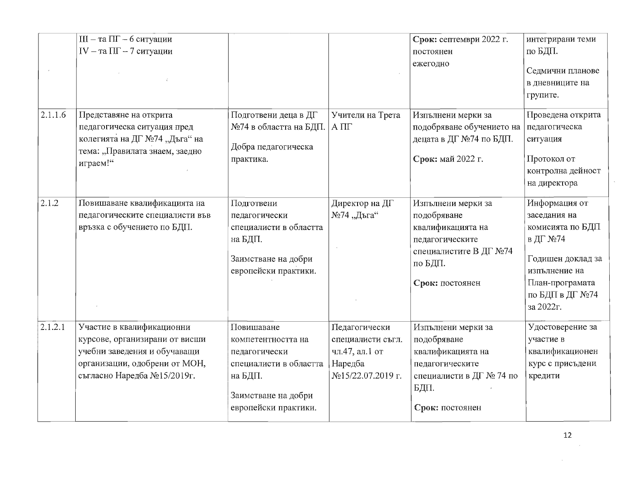|         | $III - ra \Pi\Gamma - 6$ ситуации<br>$IV - ra \Pi\Gamma - 7$ ситуации                                                                                       |                                                                                                                                       |                                                                                      | Срок: септември 2022 г.<br>постоянен<br>ежегодно                                                                                  | интегрирани теми<br>по БДП.<br>Седмични планове<br>в дневниците на<br>групите.                                                                         |
|---------|-------------------------------------------------------------------------------------------------------------------------------------------------------------|---------------------------------------------------------------------------------------------------------------------------------------|--------------------------------------------------------------------------------------|-----------------------------------------------------------------------------------------------------------------------------------|--------------------------------------------------------------------------------------------------------------------------------------------------------|
| 2.1.1.6 | Представяне на открита<br>педагогическа ситуация пред<br>колегията на ДГ №74 "Дъга" на<br>тема: "Правилата знаем, заедно<br>играем!"                        | Подготвени деца в ДГ<br>№74 в областта на БДП.<br>Добра педагогическа<br>практика.                                                    | Учители на Трета<br>$A \Pi\Gamma$                                                    | Изпълнени мерки за<br>подобряване обучението на<br>децата в ДГ №74 по БДП.<br>Срок: май 2022 г.                                   | Проведена открита<br>педагогическа<br>ситуация<br>Протокол от<br>контролна дейност<br>на директора                                                     |
| 2.1.2   | Повишаване квалификацията на<br>педагогическите специалисти във<br>връзка с обучението по БДП.                                                              | Подготвени<br>педагогически<br>специалисти в областта<br>на БДП.<br>Заимстване на добри<br>европейски практики.                       | Директор на ДГ<br>№74 "Дъга"                                                         | Изпълнени мерки за<br>подобряване<br>квалификацията на<br>педагогическите<br>специалистите В ДГ №74<br>по БДП.<br>Срок: постоянен | Информация от<br>заседания на<br>комисията по БДП<br>в ДГ №74<br>Годишен доклад за<br>изпълнение на<br>План-програмата<br>по БДП в ДГ №74<br>за 2022г. |
| 2.1.2.1 | Участие в квалификационни<br>курсове, организирани от висши<br>учебни заведения и обучаващи<br>организации, одобрени от МОН,<br>съгласно Наредба №15/2019г. | Повишаване<br>компетентността на<br>педагогически<br>специалисти в областта<br>на БДП.<br>Заимстване на добри<br>европейски практики. | Педагогически<br>специалисти съгл.<br>чл.47, ал.1 от<br>Наредба<br>№15/22.07.2019 г. | Изпълнени мерки за<br>подобряване<br>квалификацията на<br>педагогическите<br>специалисти в ДГ № 74 по<br>БДП.<br>Срок: постоянен  | Удостоверение за<br>участие в<br>квалификационен<br>курс с присъдени<br>кредити                                                                        |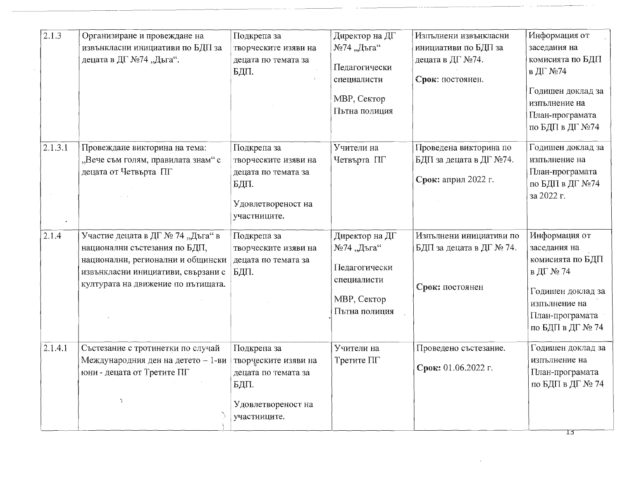| $\overline{2.1.3}$ | Организиране и провеждане на<br>извънкласни инициативи по БДП за<br>децата в ДГ №74 "Дъга".                                                                                         | Подкрепа за<br>творческите изяви на<br>децата по темата за<br>БДП.                                       | Директор на ДГ<br>№74 "Дъга"<br>Педагогически<br>специалисти<br>МВР, Сектор<br>Пътна полиция | Изпълнени извънкласни<br>инициативи по БДП за<br>децата в ДГ №74.<br>Срок: постоянен. | Информация от<br>заседания на<br>комисията по БДП<br>в ДГ №74<br>Годишен доклад за<br>изпълнение на<br>План-програмата<br>по БДП в ДГ №74   |
|--------------------|-------------------------------------------------------------------------------------------------------------------------------------------------------------------------------------|----------------------------------------------------------------------------------------------------------|----------------------------------------------------------------------------------------------|---------------------------------------------------------------------------------------|---------------------------------------------------------------------------------------------------------------------------------------------|
| 2.1.3.1            | Провеждане викторина на тема:<br>"Вече съм голям, правилата знам" с<br>децата от Четвърта ПГ                                                                                        | Подкрепа за<br>творческите изяви на<br>децата по темата за<br>БДП.<br>Удовлетвореност на<br>участниците. | Учители на<br>Четвърта ПГ                                                                    | Проведена викторина по<br>БДП за децата в ДГ №74.<br>Срок: април 2022 г.              | Годишен доклад за<br>изпълнение на<br>План-програмата<br>по БДП в ДГ №74<br>за 2022 г.                                                      |
| 2.1.4              | Участие децата в ДГ № 74 "Дъга" в<br>национални състезания по БДП,<br>национални, регионални и общински<br>извънкласни инициативи, свързани с<br>културата на движение по пътищата. | Подкрепа за<br>творческите изяви на<br>децата по темата за<br>БДП.                                       | Директор на ДГ<br>№74 "Дъга"<br>Педагогически<br>специалисти<br>МВР, Сектор<br>Пътна полиция | Изпълнени инициативи по<br>БДП за децата в ДГ № 74.<br>Срок: постоянен                | Информация от<br>заседания на<br>комисията по БДП<br>в ДГ № 74<br>Годишен доклад за<br>изпълнение на<br>План-програмата<br>по БДП в ДГ № 74 |
| 2.1.4.1            | Състезание с тротинетки по случай<br>Международния ден на детето - 1-ви<br>юни - децата от Третите ПГ<br>$\overline{\mathcal{A}}$                                                   | Подкрепа за<br>творческите изяви на<br>децата по темата за<br>БДП.<br>Удовлетвореност на<br>участниците. | Учители на<br>Третите ПГ                                                                     | Проведено състезание.<br>Срок: 01.06.2022 г.                                          | Годишен доклад за<br>изпълнение на<br>План-програмата<br>по БДП в ДГ № 74<br>13                                                             |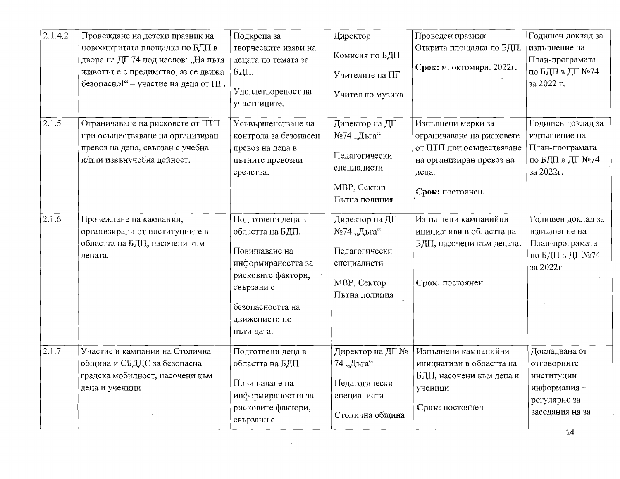| 2.1.4.2 | Провеждане на детски празник на<br>новооткритата площадка по БДП в          | Подкрепа за<br>творческите изяви на               | Директор                             | Проведен празник.<br>Открита площадка по БДП.                 | Годишен доклад за<br>изпълнение на              |
|---------|-----------------------------------------------------------------------------|---------------------------------------------------|--------------------------------------|---------------------------------------------------------------|-------------------------------------------------|
|         | двора на ДГ 74 под наслов: "На пътя                                         | децата по темата за                               | Комисия по БДП                       |                                                               | План-програмата                                 |
|         | животът е с предимство, аз се движа<br>безопасно!" - участие на деца от ПГ. | БДП.                                              | Учителите на ПГ                      | Срок: м. октомври. 2022г.                                     | по БДП в ДГ №74<br>за 2022 г.                   |
|         |                                                                             | Удовлетвореност на<br>участниците.                | Учител по музика                     |                                                               |                                                 |
| 2.1.5   | Ограничаване на рисковете от ПТП                                            | Усъвършенстване на                                | Директор на ДГ                       | Изпълнени мерки за                                            | Годишен доклад за                               |
|         | при осъществяване на организиран                                            | контрола за безопасен                             | №74 "Дъга"                           | ограничаване на рисковете                                     | изпълнение на                                   |
|         | превоз на деца, свързан с учебна<br>и/или извънучебна дейност.              | превоз на деца в<br>пътните превозни<br>средства. | Педагогически<br>специалисти         | от ПТП при осъществяване<br>на организиран превоз на<br>деца. | План-програмата<br>по БДП в ДГ №74<br>за 2022г. |
|         |                                                                             |                                                   | МВР, Сектор<br>Пътна полиция         | Срок: постоянен.                                              |                                                 |
| 2.1.6   | Провеждане на кампании,                                                     | Подготвени деца в                                 | Директор на ДГ                       | Изпълнени кампанийни                                          | Годишен доклад за                               |
|         | организирани от институциите в                                              | областта на БДП.                                  | №74 "Дъга"                           | инициативи в областта на                                      | изпълнение на                                   |
|         | областта на БДП, насочени към<br>децата.                                    | Повишаване на<br>информираността за               | Педагогически<br>специалисти         | БДП, насочени към децата.                                     | План-програмата<br>по БДП в ДГ №74<br>за 2022г. |
|         |                                                                             | рисковите фактори,<br>свързани с                  | <b>MBP</b> , Сектор<br>Пътна полиция | Срок: постоянен                                               |                                                 |
|         |                                                                             | безопасността на                                  |                                      |                                                               |                                                 |
|         |                                                                             | движението по                                     |                                      |                                                               |                                                 |
|         |                                                                             | пътищата.                                         |                                      |                                                               |                                                 |
| 2.1.7   | Участие в кампании на Столична                                              | Подготвени деца в                                 | Директор на ДГ №                     | Изпълнени кампанийни                                          | Докладвана от                                   |
|         | община и СБДДС за безопасна                                                 | областта на БДП                                   | 74 "Дъга"                            | инициативи в областта на                                      | отговорните                                     |
|         | градска мобилност, насочени към                                             |                                                   |                                      | БДП, насочени към деца и                                      | институции                                      |
|         | деца и ученици                                                              | Повишаване на                                     | Педагогически                        | ученици                                                       | информация -                                    |
|         |                                                                             | информираността за<br>рисковите фактори,          | специалисти                          | Срок: постоянен                                               | регулярно за                                    |
|         |                                                                             | свързани с                                        | Столична община                      |                                                               | заседания на за                                 |
|         |                                                                             |                                                   |                                      |                                                               | 14                                              |

 $\sim 10^7$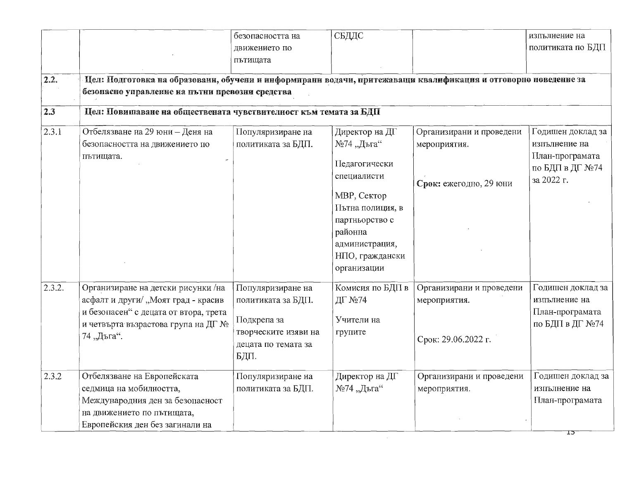|        |                                                                                                                                                                         | безопасността на<br>движението по<br>пътищата                                                                 | СБДДС                                                                                                                                                                            |                                                                    | изпълнение на<br>политиката по БДП                                                     |
|--------|-------------------------------------------------------------------------------------------------------------------------------------------------------------------------|---------------------------------------------------------------------------------------------------------------|----------------------------------------------------------------------------------------------------------------------------------------------------------------------------------|--------------------------------------------------------------------|----------------------------------------------------------------------------------------|
| 2.2.   | Цел: Подготовка на образовани, обучени и информирани водачи, притежаващи квалификация и отговорно поведение за<br>безопасно управление на пътни превозни средства       |                                                                                                               |                                                                                                                                                                                  |                                                                    |                                                                                        |
| 2.3    | Цел: Повишаване на обществената чувствителност към темата за БДП                                                                                                        |                                                                                                               |                                                                                                                                                                                  |                                                                    |                                                                                        |
| 2.3.1  | Отбелязване на 29 юни - Деня на<br>безопасността на движението по<br>пътищата.                                                                                          | Популяризиране на<br>политиката за БДП.                                                                       | Директор на ДГ<br>№74 "Дъга"<br>Педагогически<br>специалисти<br>МВР, Сектор<br>Пътна полиция, в<br>партньорство с<br>районна<br>администрация,<br>НПО, граждански<br>организации | Организирани и проведени<br>мероприятия.<br>Срок: ежегодно, 29 юни | Годишен доклад за<br>изпълнение на<br>План-програмата<br>по БДП в ДГ №74<br>за 2022 г. |
| 2.3.2. | Организиране на детски рисунки /на<br>асфалт и други/ "Моят град - красив<br>и безопасен" с децата от втора, трета<br>и четвърта възрастова група на ДГ №<br>74 "Дъга". | Популяризиране на<br>политиката за БДП.<br>Подкрепа за<br>творческите изяви на<br>децата по темата за<br>БДП. | Комисия по БДП в<br>ДГ №74<br>Учители на<br>групите                                                                                                                              | Организирани и проведени<br>мероприятия.<br>Срок: 29.06.2022 г.    | Годишен доклад за<br>изпълнение на<br>План-програмата<br>по БДП в ДГ №74               |
| 2.3.2  | Отбелязване на Европейската<br>седмица на мобилността,<br>Международния ден за безопасност<br>на движението по пътищата,<br>Европейския ден без загинали на             | Популяризиране на<br>политиката за БДП.                                                                       | Директор на ДГ<br>№74 "Дъга"                                                                                                                                                     | Организирани и проведени<br>мероприятия.                           | Годишен доклад за<br>изпълнение на<br>План-програмата<br>IJ                            |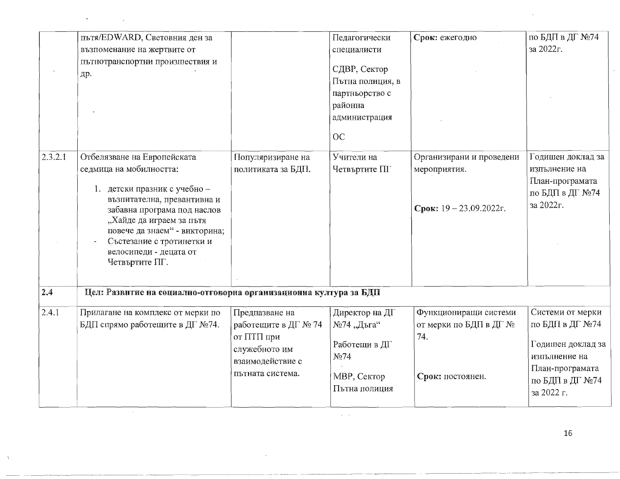|               | пътя/EDWARD, Световния ден за<br>възпоменание на жертвите от<br>пътнотранспортни произшествия и<br>др.                                                                                                                                                                                     |                                                                                                               | Педагогически<br>специалисти<br>СДВР, Сектор<br>Пътна полиция, в<br>партньорство с<br>районна<br>администрация<br>OC | Срок: ежегодно                                                             | по БДП в ДГ №74<br>за 2022г.                                                                                                  |  |  |  |  |  |
|---------------|--------------------------------------------------------------------------------------------------------------------------------------------------------------------------------------------------------------------------------------------------------------------------------------------|---------------------------------------------------------------------------------------------------------------|----------------------------------------------------------------------------------------------------------------------|----------------------------------------------------------------------------|-------------------------------------------------------------------------------------------------------------------------------|--|--|--|--|--|
| 2.3.2.1       | Отбелязване на Европейската<br>седмица на мобилността:<br>1. детски празник с учебно -<br>възпитателна, превантивна и<br>забавна програма под наслов<br>"Хайде да играем за пътя<br>повече да знаем" - викторина;<br>Състезание с тротинетки и<br>велосипеди - децата от<br>Четвъртите ПГ. | Популяризиране на<br>политиката за БДП.                                                                       | Учители на<br>Четвъртите ПГ                                                                                          | Организирани и проведени<br>мероприятия.<br>Срок: $19 - 23.09.2022r$ .     | Годишен доклад за<br>изпълнение на<br>План-програмата<br>по БДП в ДГ №74<br>за 2022г.                                         |  |  |  |  |  |
| $\boxed{2.4}$ | Цел: Развитие на социално-отговорна организационна култура за БДП                                                                                                                                                                                                                          |                                                                                                               |                                                                                                                      |                                                                            |                                                                                                                               |  |  |  |  |  |
| 2.4.1         | Прилагане на комплекс от мерки по<br>БДП спрямо работещите в ДГ №74.                                                                                                                                                                                                                       | Предпазване на<br>работещите в ДГ № 74<br>от ПТП при<br>служебното им<br>взаимодействие с<br>пътната система. | Директор на ДГ<br>№74 "Дъга"<br>Работещи в ДГ<br>No74<br>МВР, Сектор<br>Пътна полиция                                | Функциониращи системи<br>от мерки по БДП в ДГ №<br>74.<br>Срок: постоянен. | Системи от мерки<br>по БДП в ДГ №74<br>Годишен доклад за<br>изпълнение на<br>План-програмата<br>по БДП в ДГ №74<br>за 2022 г. |  |  |  |  |  |